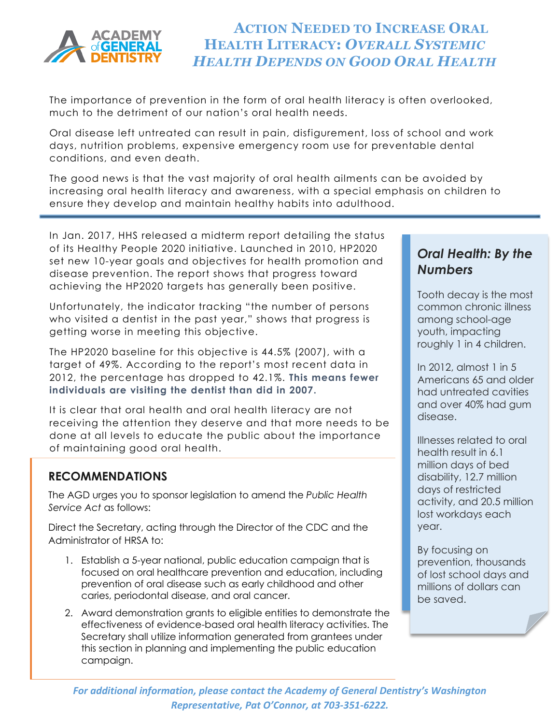

# **ACTION NEEDED TO INCREASE ORAL HEALTH LITERACY:** *OVERALL SYSTEMIC HEALTH DEPENDS ON GOOD ORAL HEALTH*

The importance of prevention in the form of oral health literacy is often overlooked, much to the detriment of our nation's oral health needs.

Oral disease left untreated can result in pain, disfigurement, loss of school and work days, nutrition problems, expensive emergency room use for preventable dental conditions, and even death.

The good news is that the vast majority of oral health ailments can be avoided by increasing oral health literacy and awareness, with a special emphasis on children to ensure they develop and maintain healthy habits into adulthood.

In Jan. 2017, HHS released a midterm report detailing the status of its Healthy People 2020 initiative. Launched in 2010, HP2020 set new 10-year goals and objectives for health promotion and disease prevention. The report shows that progress toward achieving the HP2020 targets has generally been positive.

Unfortunately, the indicator tracking "the number of persons who visited a dentist in the past year," shows that progress is getting worse in meeting this objective.

The HP2020 baseline for this objective is 44.5% (2007), with a target of 49%. According to the report's most recent data in 2012, the percentage has dropped to 42.1%. **This means fewer individuals are visiting the dentist than did in 2007.**

It is clear that oral health and oral health literacy are not receiving the attention they deserve and that more needs to be done at all levels to educate the public about the importance of maintaining good oral health.

### **RECOMMENDATIONS**

The AGD urges you to sponsor legislation to amend the *Public Health Service Act* as follows:

Direct the Secretary, acting through the Director of the CDC and the Administrator of HRSA to:

- 1. Establish a 5-year national, public education campaign that is focused on oral healthcare prevention and education, including prevention of oral disease such as early childhood and other caries, periodontal disease, and oral cancer.
- 2. Award demonstration grants to eligible entities to demonstrate the effectiveness of evidence-based oral health literacy activities. The Secretary shall utilize information generated from grantees under this section in planning and implementing the public education campaign.

## *Oral Health: By the Numbers*

Tooth decay is the most common chronic illness among school-age youth, impacting roughly 1 in 4 children.

In 2012, almost 1 in 5 Americans 65 and older had untreated cavities and over 40% had gum disease.

Illnesses related to oral health result in 6.1 million days of bed disability, 12.7 million days of restricted activity, and 20.5 million lost workdays each year.

By focusing on prevention, thousands of lost school days and millions of dollars can be saved.

*For additional information, please contact the Academy of General Dentistry's Washington Representative, Pat O'Connor, at 703-351-6222.*